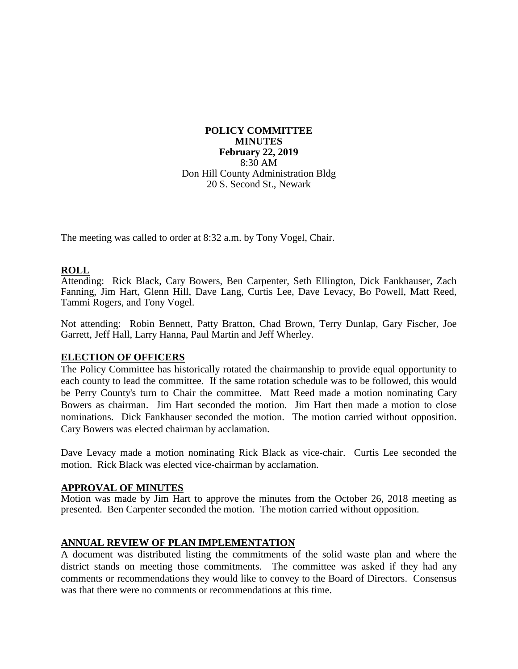**POLICY COMMITTEE MINUTES February 22, 2019** 8:30 AM Don Hill County Administration Bldg 20 S. Second St., Newark

The meeting was called to order at 8:32 a.m. by Tony Vogel, Chair.

## **ROLL**

Attending: Rick Black, Cary Bowers, Ben Carpenter, Seth Ellington, Dick Fankhauser, Zach Fanning, Jim Hart, Glenn Hill, Dave Lang, Curtis Lee, Dave Levacy, Bo Powell, Matt Reed, Tammi Rogers, and Tony Vogel.

Not attending: Robin Bennett, Patty Bratton, Chad Brown, Terry Dunlap, Gary Fischer, Joe Garrett, Jeff Hall, Larry Hanna, Paul Martin and Jeff Wherley.

## **ELECTION OF OFFICERS**

The Policy Committee has historically rotated the chairmanship to provide equal opportunity to each county to lead the committee. If the same rotation schedule was to be followed, this would be Perry County's turn to Chair the committee. Matt Reed made a motion nominating Cary Bowers as chairman. Jim Hart seconded the motion. Jim Hart then made a motion to close nominations. Dick Fankhauser seconded the motion. The motion carried without opposition. Cary Bowers was elected chairman by acclamation.

Dave Levacy made a motion nominating Rick Black as vice-chair. Curtis Lee seconded the motion. Rick Black was elected vice-chairman by acclamation.

#### **APPROVAL OF MINUTES**

Motion was made by Jim Hart to approve the minutes from the October 26, 2018 meeting as presented. Ben Carpenter seconded the motion. The motion carried without opposition.

## **ANNUAL REVIEW OF PLAN IMPLEMENTATION**

A document was distributed listing the commitments of the solid waste plan and where the district stands on meeting those commitments. The committee was asked if they had any comments or recommendations they would like to convey to the Board of Directors. Consensus was that there were no comments or recommendations at this time.